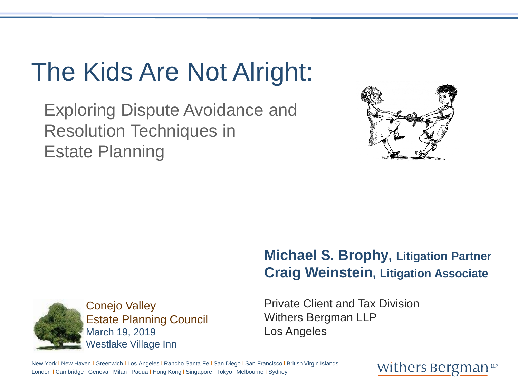# The Kids Are Not Alright:

Exploring Dispute Avoidance and Resolution Techniques in Estate Planning



#### **Michael S. Brophy, Litigation Partner Craig Weinstein, Litigation Associate**



Private Client and Tax Division Withers Bergman LLP Los Angeles

New York I New Haven I Greenwich I Los Angeles I Rancho Santa Fe I San Diego I San Francisco I British Virgin Islands London l Cambridge l Geneva l Milan l Padua l Hong Kong l Singapore l Tokyo l Melbourne l Sydney

#### Withers Bergman up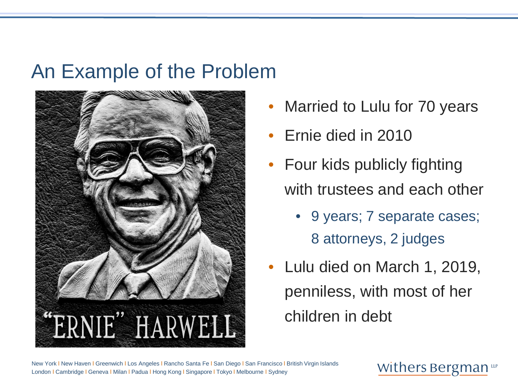### An Example of the Problem



- Married to Lulu for 70 years
- Ernie died in 2010
- Four kids publicly fighting with trustees and each other
	- 9 years; 7 separate cases; 8 attorneys, 2 judges
- Lulu died on March 1, 2019, penniless, with most of her children in debt

New York I New Haven I Greenwich I Los Angeles I Rancho Santa Fe I San Diego I San Francisco I British Virgin Islands London l Cambridge l Geneva l Milan l Padua l Hong Kong l Singapore l Tokyo l Melbourne l Sydney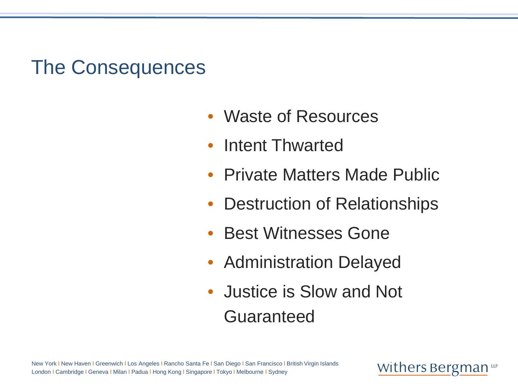### The Consequences

- Waste of Resources
- Intent Thwarted
- Private Matters Made Public
- Destruction of Relationships
- Best Witnesses Gone
- Administration Delayed
- Justice is Slow and Not Guaranteed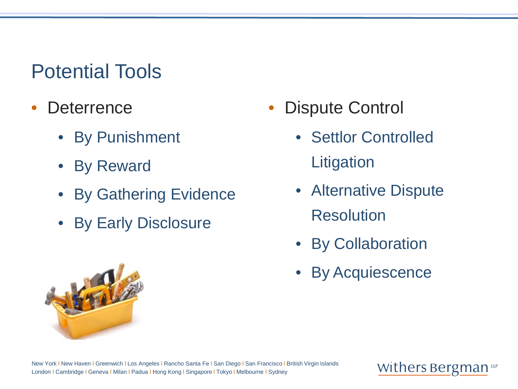# Potential Tools

- Deterrence
	- **By Punishment**
	- **By Reward**
	- By Gathering Evidence
	- By Early Disclosure
- **Dispute Control** 
	- Settlor Controlled **Litigation**
	- Alternative Dispute **Resolution**
	- By Collaboration
	- By Acquiescence

London l Cambridge l Geneva l Milan l Padua l Hong Kong l Singapore l Tokyo l Melbourne l Sydney

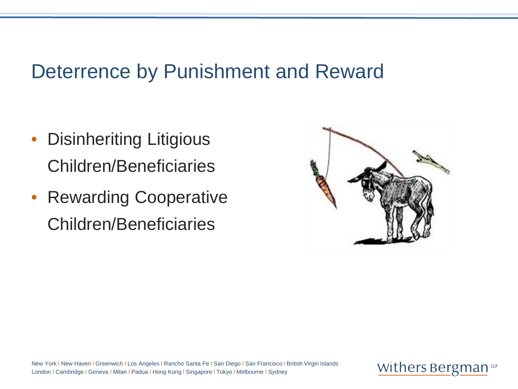### Deterrence by Punishment and Reward

- Disinheriting Litigious Children/Beneficiaries
- Rewarding Cooperative Children/Beneficiaries



New York I New Haven I Greenwich I Los Angeles I Rancho Santa Fe I San Diego I San Francisco I British Virgin Islands London l Cambridge l Geneva l Milan l Padua l Hong Kong l Singapore l Tokyo l Melbourne l Sydney

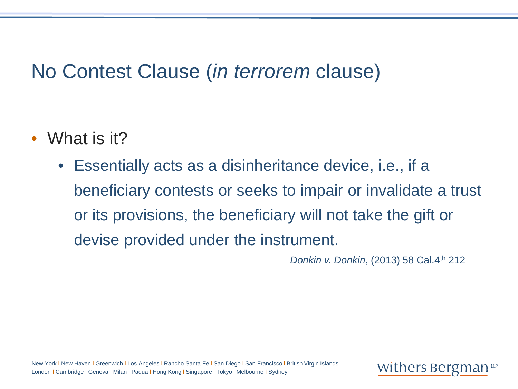### No Contest Clause (*in terrorem* clause)

- What is it?
	- Essentially acts as a disinheritance device, i.e., if a beneficiary contests or seeks to impair or invalidate a trust or its provisions, the beneficiary will not take the gift or devise provided under the instrument.

*Donkin v. Donkin*, (2013) 58 Cal.4th 212

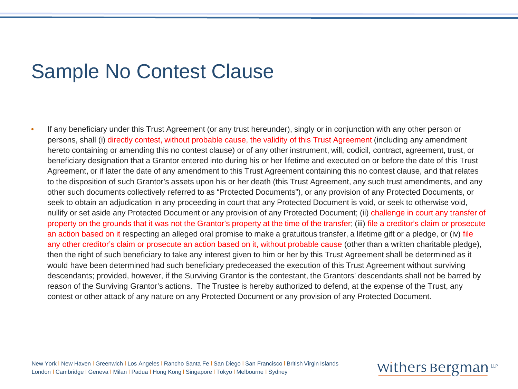### Sample No Contest Clause

• If any beneficiary under this Trust Agreement (or any trust hereunder), singly or in conjunction with any other person or persons, shall (i) directly contest, without probable cause, the validity of this Trust Agreement (including any amendment hereto containing or amending this no contest clause) or of any other instrument, will, codicil, contract, agreement, trust, or beneficiary designation that a Grantor entered into during his or her lifetime and executed on or before the date of this Trust Agreement, or if later the date of any amendment to this Trust Agreement containing this no contest clause, and that relates to the disposition of such Grantor's assets upon his or her death (this Trust Agreement, any such trust amendments, and any other such documents collectively referred to as "Protected Documents"), or any provision of any Protected Documents, or seek to obtain an adjudication in any proceeding in court that any Protected Document is void, or seek to otherwise void, nullify or set aside any Protected Document or any provision of any Protected Document; (ii) challenge in court any transfer of property on the grounds that it was not the Grantor's property at the time of the transfer; (iii) file a creditor's claim or prosecute an action based on it respecting an alleged oral promise to make a gratuitous transfer, a lifetime gift or a pledge, or (iv) file any other creditor's claim or prosecute an action based on it, without probable cause (other than a written charitable pledge), then the right of such beneficiary to take any interest given to him or her by this Trust Agreement shall be determined as it would have been determined had such beneficiary predeceased the execution of this Trust Agreement without surviving descendants; provided, however, if the Surviving Grantor is the contestant, the Grantors' descendants shall not be barred by reason of the Surviving Grantor's actions. The Trustee is hereby authorized to defend, at the expense of the Trust, any contest or other attack of any nature on any Protected Document or any provision of any Protected Document.

New York I New Haven I Greenwich I Los Angeles I Rancho Santa Fe I San Diego I San Francisco I British Virgin Islands London l Cambridge l Geneva l Milan l Padua l Hong Kong l Singapore l Tokyo l Melbourne l Sydney

#### Withers Bergman up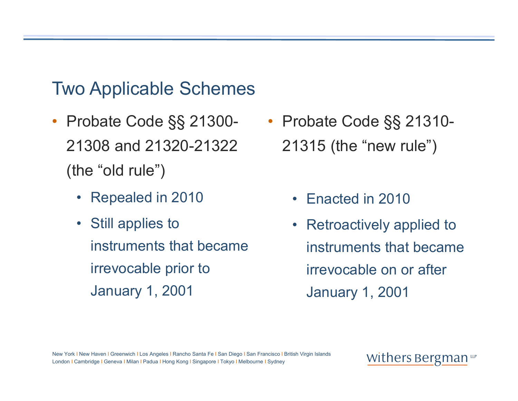### Two Applicable Schemes

- Probate Code §§ 21300- 21308 and 21320-21322 (the "old rule")
	- Repealed in 2010
	- Still applies to instruments that became irrevocable prior to January 1, 2001
- Probate Code §§ 21310- 21315 (the "new rule")
	- Enacted in 2010
	- $\bullet$  Retroactively applied to instruments that became irrevocable on or after January 1, 2001

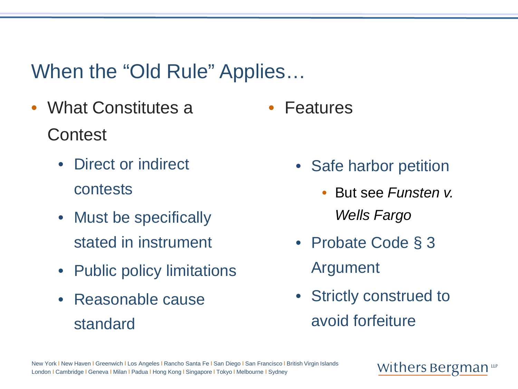### When the "Old Rule" Applies…

- What Constitutes a **Contest** • Features
	- Direct or indirect contests
	- Must be specifically stated in instrument
	- Public policy limitations
	- Reasonable cause standard
- Safe harbor petition
	- But see *Funsten v. Wells Fargo*
- Probate Code § 3 Argument
- Strictly construed to avoid forfeiture

#### Withers Bergman up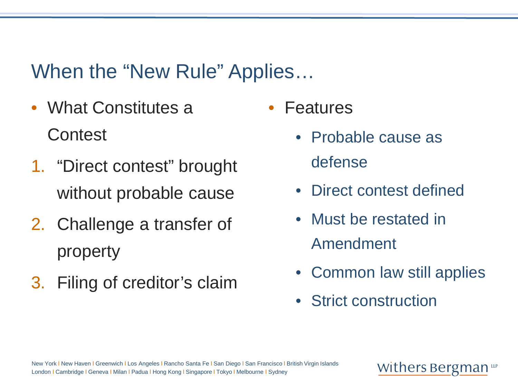### When the "New Rule" Applies…

- What Constitutes a **Contest**
- 1. "Direct contest" brought without probable cause
- 2. Challenge a transfer of property
- 3. Filing of creditor's claim
- **Features** 
	- Probable cause as defense
	- Direct contest defined
	- Must be restated in Amendment
	- Common law still applies
	- Strict construction

#### Withers Bergman <del>up</del>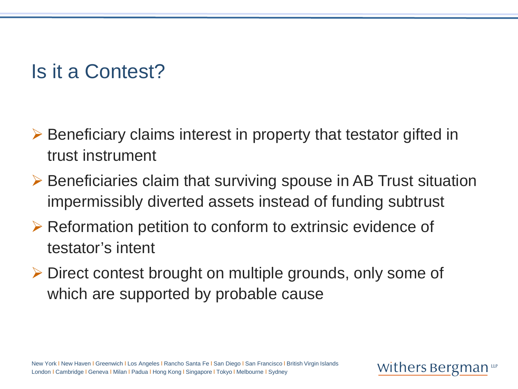### Is it a Contest?

- Beneficiary claims interest in property that testator gifted in trust instrument
- $\triangleright$  Beneficiaries claim that surviving spouse in AB Trust situation impermissibly diverted assets instead of funding subtrust
- $\triangleright$  Reformation petition to conform to extrinsic evidence of testator's intent
- Direct contest brought on multiple grounds, only some of which are supported by probable cause

Withers Bergman LLF

New York I New Haven I Greenwich I Los Angeles I Rancho Santa Fe I San Diego I San Francisco I British Virgin Islands London l Cambridge l Geneva l Milan l Padua l Hong Kong l Singapore l Tokyo l Melbourne l Sydney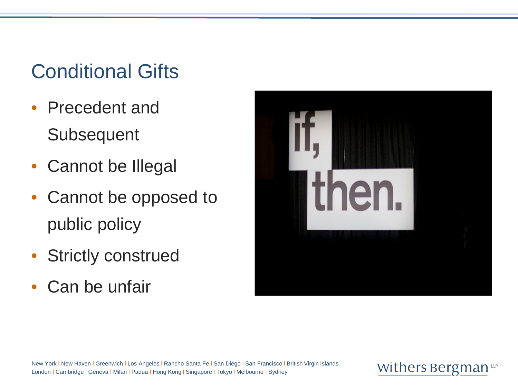# Conditional Gifts

- Precedent and **Subsequent**
- Cannot be Illegal
- Cannot be opposed to public policy
- Strictly construed
- Can be unfair



New York I New Haven I Greenwich I Los Angeles I Rancho Santa Fe I San Diego I San Francisco I British Virgin Islands London I Cambridge I Geneva I Milan I Padua I Hong Kong I Singapore I Tokyo I Melbourne I Sydney

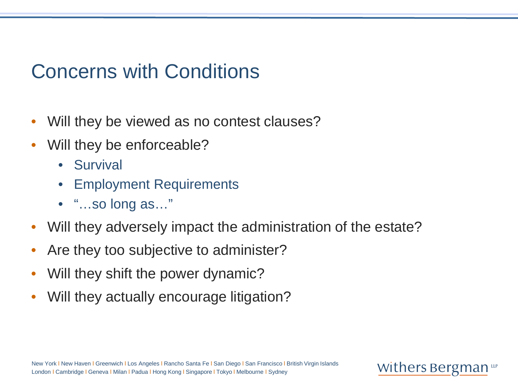### Concerns with Conditions

- Will they be viewed as no contest clauses?
- Will they be enforceable?
	- Survival
	- **Employment Requirements**
	- "…so long as…"
- Will they adversely impact the administration of the estate?

- Are they too subjective to administer?
- Will they shift the power dynamic?
- Will they actually encourage litigation?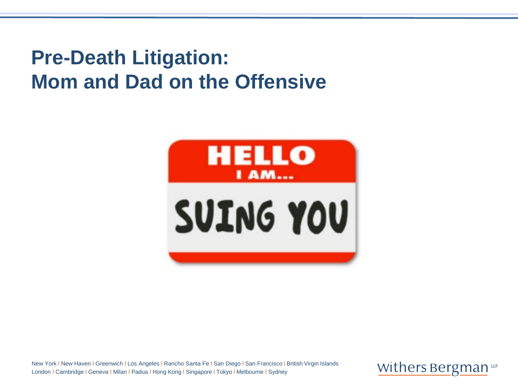## **Pre-Death Litigation: Mom and Dad on the Offensive**



New York I New Haven I Greenwich I Los Angeles I Rancho Santa Fe I San Diego I San Francisco I British Virgin Islands London I Cambridge I Geneva I Milan I Padua I Hong Kong I Singapore I Tokyo I Melbourne I Sydney

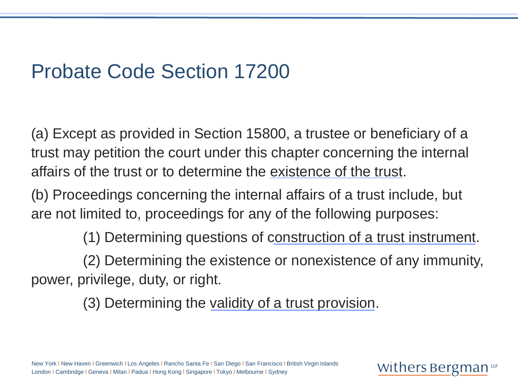### Probate Code Section 17200

(a) Except as provided in Section 15800, a trustee or beneficiary of a trust may petition the court under this chapter concerning the internal affairs of the trust or to determine the existence of the trust.

(b) Proceedings concerning the internal affairs of a trust include, but are not limited to, proceedings for any of the following purposes:

(1) Determining questions of construction of a trust instrument.

Withers Bergman

(2) Determining the existence or nonexistence of any immunity, power, privilege, duty, or right.

(3) Determining the validity of a trust provision.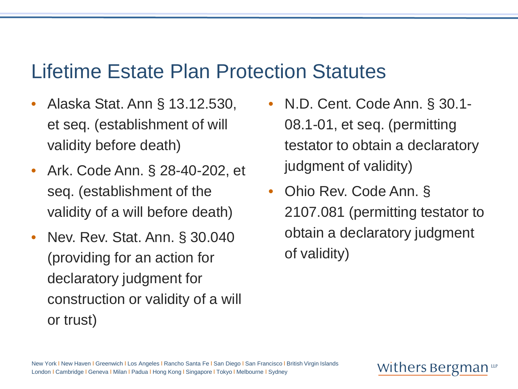### Lifetime Estate Plan Protection Statutes

- Alaska Stat. Ann § 13.12.530, et seq. (establishment of will validity before death)
- Ark. Code Ann. § 28-40-202, et seq. (establishment of the validity of a will before death)
- Nev. Rev. Stat. Ann. § 30.040 (providing for an action for declaratory judgment for construction or validity of a will or trust)
- N.D. Cent. Code Ann. § 30.1- 08.1-01, et seq. (permitting testator to obtain a declaratory judgment of validity)
- Ohio Rev. Code Ann. § 2107.081 (permitting testator to obtain a declaratory judgment of validity)

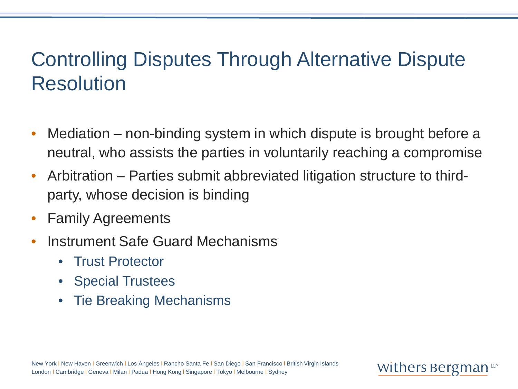### Controlling Disputes Through Alternative Dispute Resolution

- Mediation non-binding system in which dispute is brought before a neutral, who assists the parties in voluntarily reaching a compromise
- Arbitration Parties submit abbreviated litigation structure to thirdparty, whose decision is binding
- Family Agreements
- Instrument Safe Guard Mechanisms
	- Trust Protector
	- Special Trustees
	- Tie Breaking Mechanisms

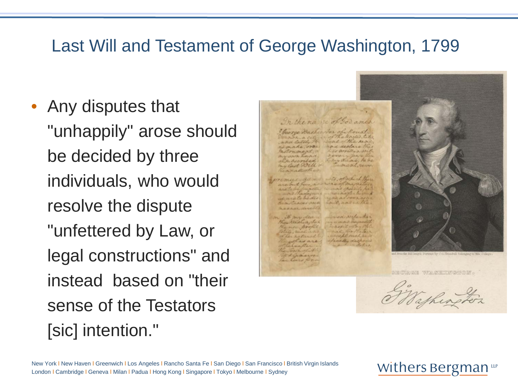### Last Will and Testament of George Washington, 1799

• Any disputes that "unhappily" arose should be decided by three individuals, who would resolve the dispute "unfettered by Law, or legal constructions" and instead based on "their sense of the Testators [sic] intention."



Vathing.

New York I New Haven I Greenwich I Los Angeles I Rancho Santa Fe I San Diego I San Francisco I British Virgin Islands London l Cambridge l Geneva l Milan l Padua l Hong Kong l Singapore l Tokyo l Melbourne l Sydney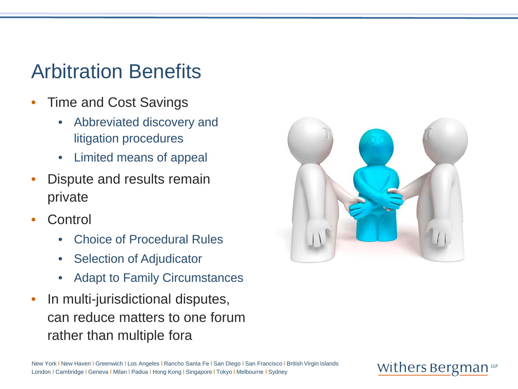### Arbitration Benefits

- Time and Cost Savings
	- Abbreviated discovery and litigation procedures
	- Limited means of appeal
- Dispute and results remain private
- **Control** 
	- Choice of Procedural Rules
	- Selection of Adjudicator
	- Adapt to Family Circumstances
- In multi-jurisdictional disputes, can reduce matters to one forum rather than multiple fora



#### Withers Bergman up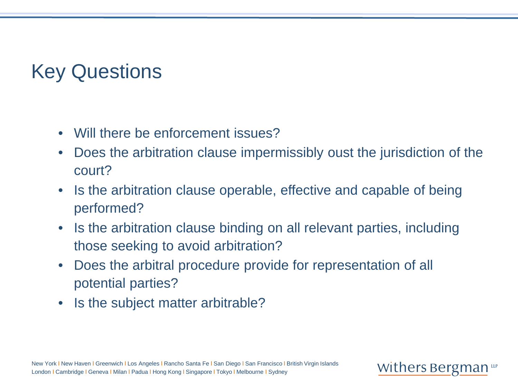## Key Questions

- Will there be enforcement issues?
- Does the arbitration clause impermissibly oust the jurisdiction of the court?
- Is the arbitration clause operable, effective and capable of being performed?
- Is the arbitration clause binding on all relevant parties, including those seeking to avoid arbitration?

- Does the arbitral procedure provide for representation of all potential parties?
- Is the subject matter arbitrable?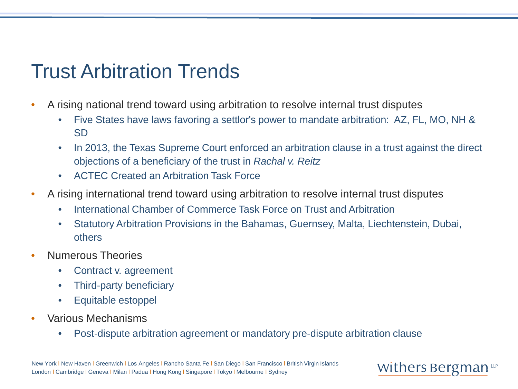### Trust Arbitration Trends

- A rising national trend toward using arbitration to resolve internal trust disputes
	- Five States have laws favoring a settlor's power to mandate arbitration: AZ, FL, MO, NH & SD
	- In 2013, the Texas Supreme Court enforced an arbitration clause in a trust against the direct objections of a beneficiary of the trust in *Rachal v. Reitz*
	- ACTEC Created an Arbitration Task Force
- A rising international trend toward using arbitration to resolve internal trust disputes
	- International Chamber of Commerce Task Force on Trust and Arbitration
	- Statutory Arbitration Provisions in the Bahamas, Guernsey, Malta, Liechtenstein, Dubai, others
- Numerous Theories
	- Contract v. agreement
	- Third-party beneficiary
	- Equitable estoppel
- Various Mechanisms
	- Post-dispute arbitration agreement or mandatory pre-dispute arbitration clause

#### Withers Bergman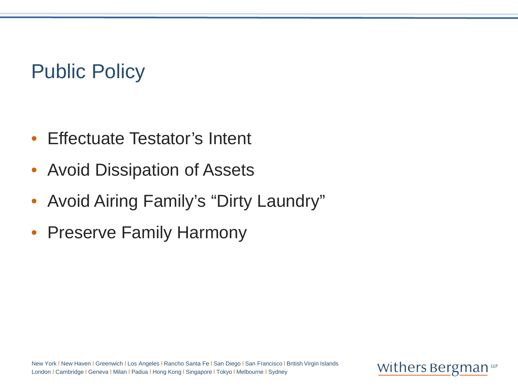### Public Policy

- Effectuate Testator's Intent
- Avoid Dissipation of Assets
- Avoid Airing Family's "Dirty Laundry"
- Preserve Family Harmony

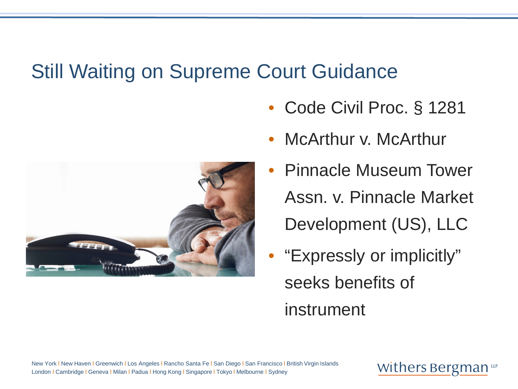### Still Waiting on Supreme Court Guidance

- Code Civil Proc. § 1281
- McArthur *v.* McArthur
- Pinnacle Museum Tower Assn. v. Pinnacle Market Development (US), LLC
- "Expressly or implicitly" seeks benefits of instrument



New York I New Haven I Greenwich I Los Angeles I Rancho Santa Fe I San Diego I San Francisco I British Virgin Islands London l Cambridge l Geneva l Milan l Padua l Hong Kong l Singapore l Tokyo l Melbourne l Sydney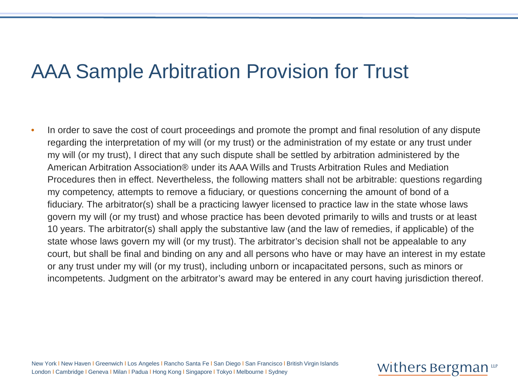### AAA Sample Arbitration Provision for Trust

• In order to save the cost of court proceedings and promote the prompt and final resolution of any dispute regarding the interpretation of my will (or my trust) or the administration of my estate or any trust under my will (or my trust), I direct that any such dispute shall be settled by arbitration administered by the American Arbitration Association® under its AAA Wills and Trusts Arbitration Rules and Mediation Procedures then in effect. Nevertheless, the following matters shall not be arbitrable: questions regarding my competency, attempts to remove a fiduciary, or questions concerning the amount of bond of a fiduciary. The arbitrator(s) shall be a practicing lawyer licensed to practice law in the state whose laws govern my will (or my trust) and whose practice has been devoted primarily to wills and trusts or at least 10 years. The arbitrator(s) shall apply the substantive law (and the law of remedies, if applicable) of the state whose laws govern my will (or my trust). The arbitrator's decision shall not be appealable to any court, but shall be final and binding on any and all persons who have or may have an interest in my estate or any trust under my will (or my trust), including unborn or incapacitated persons, such as minors or incompetents. Judgment on the arbitrator's award may be entered in any court having jurisdiction thereof.

New York I New Haven I Greenwich I Los Angeles I Rancho Santa Fe I San Diego I San Francisco I British Virgin Islands London l Cambridge l Geneva l Milan l Padua l Hong Kong l Singapore l Tokyo l Melbourne l Sydney

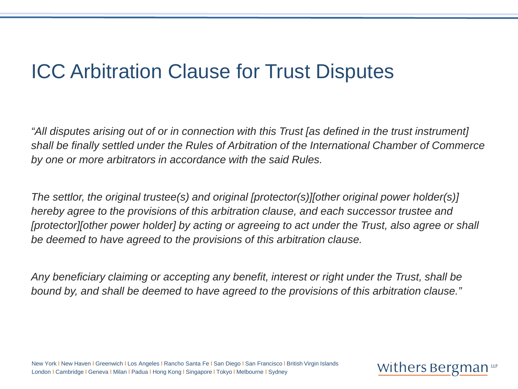### ICC Arbitration Clause for Trust Disputes

*"All disputes arising out of or in connection with this Trust [as defined in the trust instrument] shall be finally settled under the Rules of Arbitration of the International Chamber of Commerce by one or more arbitrators in accordance with the said Rules.* 

*The settlor, the original trustee(s) and original [protector(s)][other original power holder(s)] hereby agree to the provisions of this arbitration clause, and each successor trustee and [protector][other power holder] by acting or agreeing to act under the Trust, also agree or shall be deemed to have agreed to the provisions of this arbitration clause.* 

*Any beneficiary claiming or accepting any benefit, interest or right under the Trust, shall be bound by, and shall be deemed to have agreed to the provisions of this arbitration clause."*

New York I New Haven I Greenwich I Los Angeles I Rancho Santa Fe I San Diego I San Francisco I British Virgin Islands London l Cambridge l Geneva l Milan l Padua l Hong Kong l Singapore l Tokyo l Melbourne l Sydney

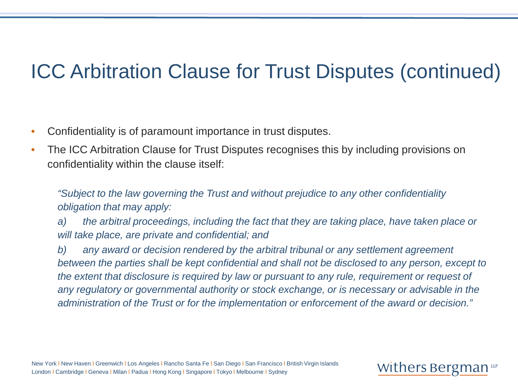### ICC Arbitration Clause for Trust Disputes (continued)

- Confidentiality is of paramount importance in trust disputes.
- The ICC Arbitration Clause for Trust Disputes recognises this by including provisions on confidentiality within the clause itself:

*"Subject to the law governing the Trust and without prejudice to any other confidentiality obligation that may apply:*

*a) the arbitral proceedings, including the fact that they are taking place, have taken place or will take place, are private and confidential; and*

*b) any award or decision rendered by the arbitral tribunal or any settlement agreement between the parties shall be kept confidential and shall not be disclosed to any person, except to the extent that disclosure is required by law or pursuant to any rule, requirement or request of any regulatory or governmental authority or stock exchange, or is necessary or advisable in the administration of the Trust or for the implementation or enforcement of the award or decision."*

#### Withers Bergman Luf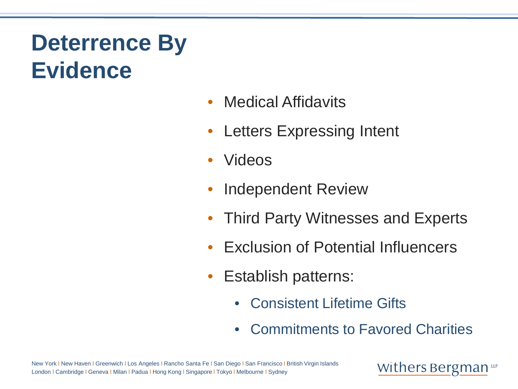# **Deterrence By Evidence**

- Medical Affidavits
- Letters Expressing Intent
- Videos
- Independent Review
- Third Party Witnesses and Experts
- Exclusion of Potential Influencers
- Establish patterns:
	- Consistent Lifetime Gifts
	- Commitments to Favored Charities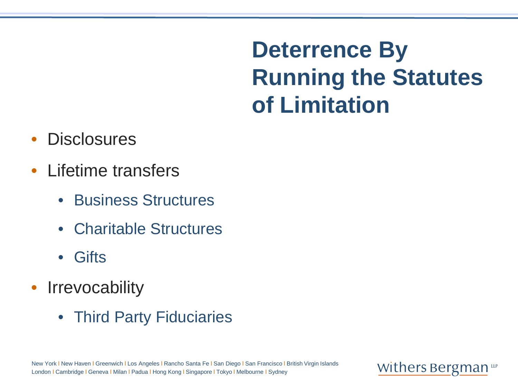**Deterrence By Running the Statutes of Limitation**

- **Disclosures**
- Lifetime transfers
	- Business Structures
	- Charitable Structures
	- Gifts
- Irrevocability
	- Third Party Fiduciaries

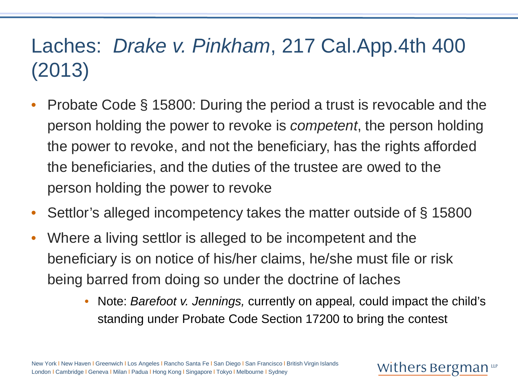# Laches: *Drake v. Pinkham*, 217 Cal.App.4th 400 (2013)

- Probate Code § 15800: During the period a trust is revocable and the person holding the power to revoke is *competent*, the person holding the power to revoke, and not the beneficiary, has the rights afforded the beneficiaries, and the duties of the trustee are owed to the person holding the power to revoke
- Settlor's alleged incompetency takes the matter outside of § 15800
- Where a living settlor is alleged to be incompetent and the beneficiary is on notice of his/her claims, he/she must file or risk being barred from doing so under the doctrine of laches
	- Note: *Barefoot v. Jennings,* currently on appeal*,* could impact the child's standing under Probate Code Section 17200 to bring the contest

Withers Bergman Luf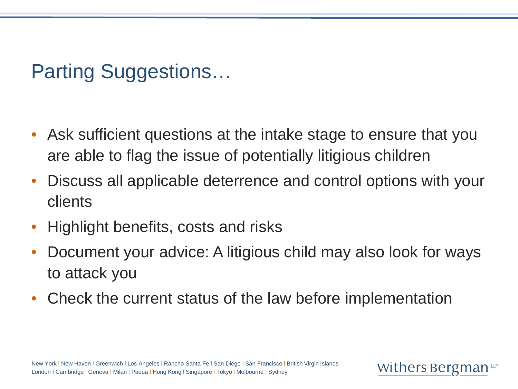Parting Suggestions…

- Ask sufficient questions at the intake stage to ensure that you are able to flag the issue of potentially litigious children
- Discuss all applicable deterrence and control options with your clients
- Highlight benefits, costs and risks
- Document your advice: A litigious child may also look for ways to attack you

Withers Bergman Luf

• Check the current status of the law before implementation